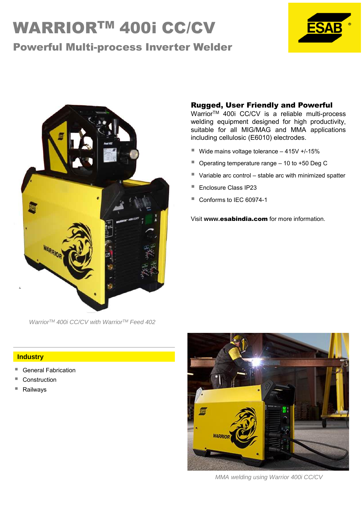# WARRIOR™ 400i CC/CV

# Powerful Multi-process Inverter Welder





*WarriorTM 400i CC/CV with WarriorTM Feed 402*

### Rugged, User Friendly and Powerful

Warrior<sup>™</sup> 400i CC/CV is a reliable multi-process welding equipment designed for high productivity, suitable for all MIG/MAG and MMA applications including cellulosic (E6010) electrodes.

- $\blacksquare$  Wide mains voltage tolerance  $-$  415V +/-15%
- Operating temperature range 10 to +50 Deg C
- Variable arc control stable arc with minimized spatter
- Enclosure Class IP23
- Conforms to IEC 60974-1

Visit **www.**esabindia.com for more information.

#### **Industry**

- General Fabrication
- **Construction**
- Railways



*MMA welding using Warrior 400i CC/CV*